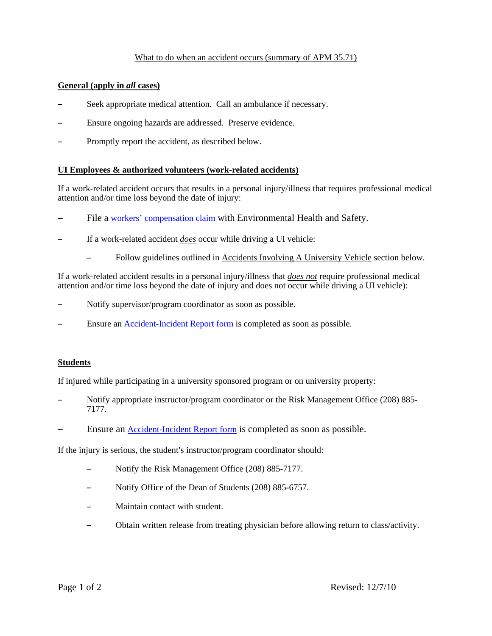# What to do when an accident occurs (summary of APM 35.71)

### **General (apply in** *all* **cases)**

- Seek appropriate medical attention. Call an ambulance if necessary.
- Ensure ongoing hazards are addressed. Preserve evidence.
- Promptly report the accident, as described below.

#### **UI Employees & authorized volunteers (work-related accidents)**

If a work-related accident occurs that results in a personal injury/illness that requires professional medical attention and/or time loss beyond the date of injury:

- File a [workers' compensation claim](http://www.uidaho.edu/ehs/topics/occsafety/wcomp) with Environmental Health and Safety.
- If a work-related accident *does* occur while driving a UI vehicle:
	- Follow guidelines outlined in Accidents Involving A University Vehicle section below.

If a work-related accident results in a personal injury/illness that *does not* require professional medical attention and/or time loss beyond the date of injury and does not occur while driving a UI vehicle):

- Notify supervisor/program coordinator as soon as possible.
- Ensure an [Accident-Incident Report form](http://www.uidaho.edu/ehs/topics/occsafety/wcomp) is completed as soon as possible.

#### **Students**

If injured while participating in a university sponsored program or on university property:

- S Notify appropriate instructor/program coordinator or the Risk Management Office (208) 885- 7177.
- Ensure an [Accident-Incident Report form](http://www.uidaho.edu/ehs/topics/occsafety/wcomp) is completed as soon as possible.

If the injury is serious, the student's instructor/program coordinator should:

- Notify the Risk Management Office (208) 885-7177.
- Notify Office of the Dean of Students (208) 885-6757.
- Maintain contact with student.
- Obtain written release from treating physician before allowing return to class/activity.